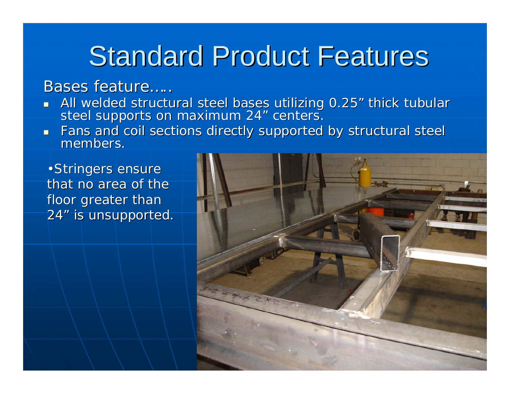#### Bases feature….

- All welded structural steel bases utilizing 0.25″ thick tubular<br>steel supports on maximum 24″ centers.
- $\blacksquare$ Fans and coil sections directly supported by structural steel members.

• Stringers ensure that no area of the floor greater than 24 " is unsupported.

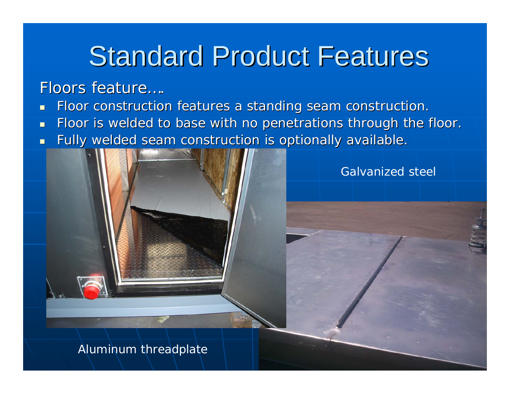#### Floors feature….

- u. Floor construction features a standing seam construction.
- П Floor is welded to base with no penetrations through the floor.
- $\blacksquare$ Fully welded seam construction is optionally available.



Galvanized steel

Aluminum threadplate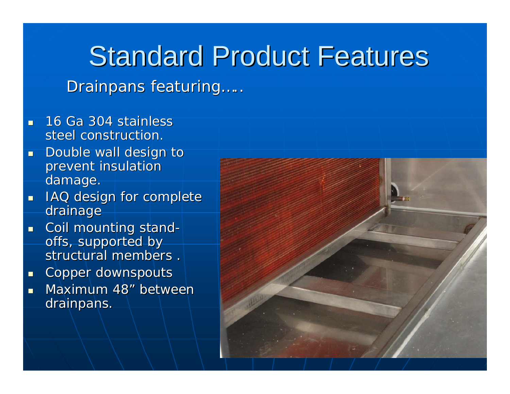Drainpans featuring.....

- П 16 Ga 304 stainless steel construction.
- ┚ Double wall design to prevent insulation damage.
- $\blacksquare$ IAQ design for complete drainage
- $\blacksquare$  $\blacksquare$  Coil mounting stand offs, supported by structural members .
- п Copper downspouts
- a.  $\blacksquare$  Maximum 48 " between drainpans.

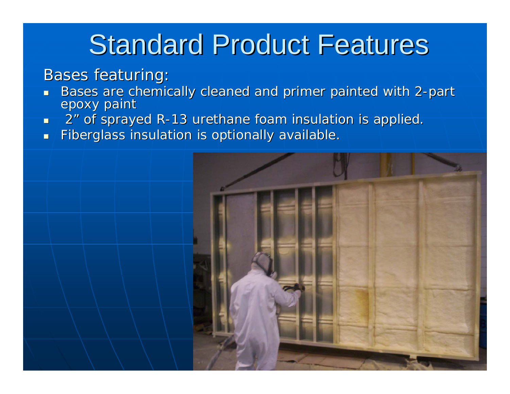#### **Bases featuring:**

- П ■ Bases are chemically cleaned and primer painted with 2-part<br>epoxy paint
- П 2 " of sprayed R-13 urethane foam insulation is applied. $\overline{\phantom{a}}$
- П Fiberglass insulation is optionally available.

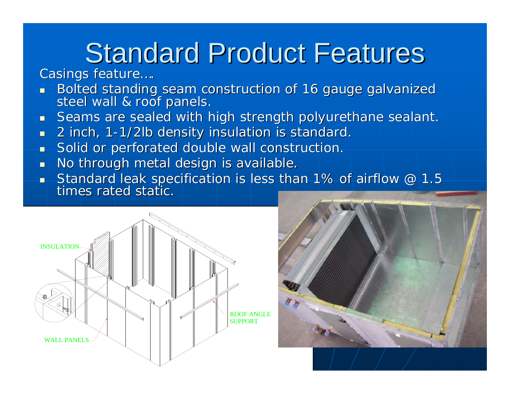#### Casings feature....

- u. Bolted standing seam construction of 16 gauge galvanized steel wall & roof panels.
- Ξ Seams are sealed with high strength polyurethane sealant.
- $\blacksquare$  $\blacksquare$  2 inch, 1-1/2lb density insulation is standard.
- $\blacksquare$ Solid or perforated double wall construction.
- $\blacksquare$ No through metal design is available.
- ┚  $\blacksquare$  Standard leak specification is less than 1% of airflow @ 1.5<br>times rated static.



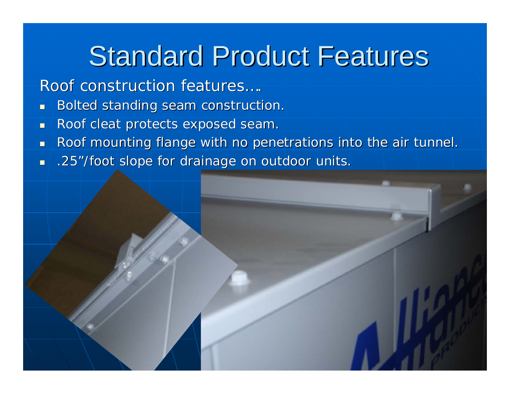Roof construction features....

- $\blacksquare$ Bolted standing seam construction.
- $\blacksquare$ Roof cleat protects exposed seam.
- П Roof mounting flange with no penetrations into the air tunnel.
- $\blacksquare$  $\blacksquare$  .25"/foot slope for drainage on outdoor units.

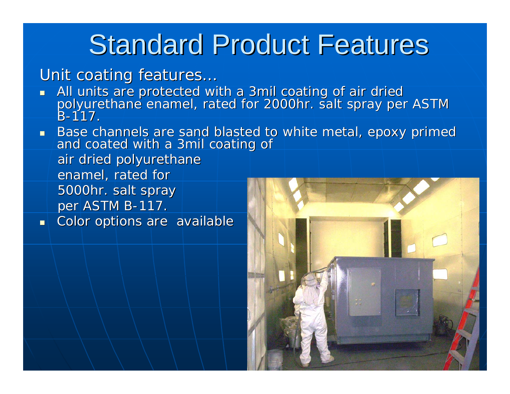Unit coating features...

- L. ■ All units are protected with a 3mil coating of air dried<br>polyurethane enamel, rated for 2000hr. salt spray per ASTM B -117.
- L. Base channels are sand blasted to white metal, epoxy primed and coated with a 3mil coating of air dried polyurethane enamel, rated for 5000hr. salt spray per ASTM B-117.

u. Color options are available

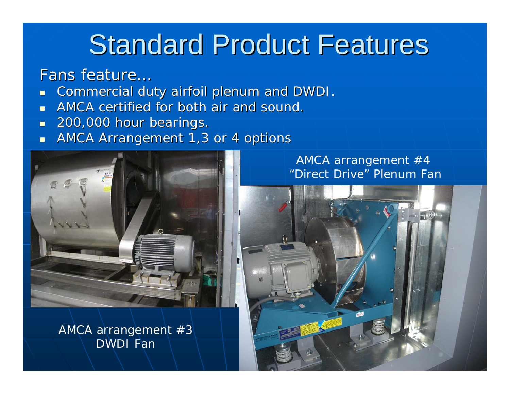#### Fans feature…

- L. Commercial duty airfoil plenum and DWDI.
- П AMCA certified for both air and sound.
- $\blacksquare$ 200,000 hour bearings.
- L. AMCA Arrangement 1,3 or 4 options



AMCA arrangement #3 DWDI Fan

#### AMCA arrangement #4 "Direct Drive" Plenum Fan

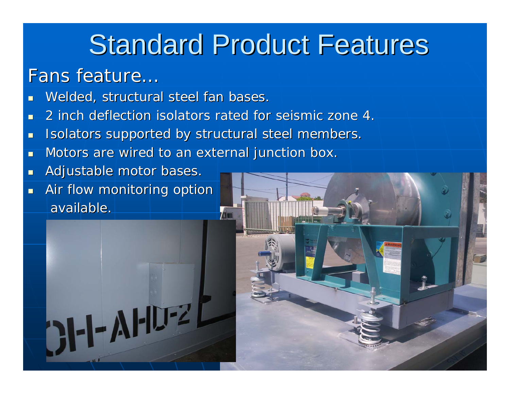#### Fans feature…

- u. Welded, structural steel fan bases.
- П 2 inch deflection isolators rated for seismic zone 4. 2 inch deflection isolators rated for seismic zone 4.
- $\blacksquare$ Isolators supported by structural steel members.
- П Motors are wired to an external junction box.
- $\blacksquare$ Adjustable motor bases.
- $\blacksquare$ Air flow monitoring option available.

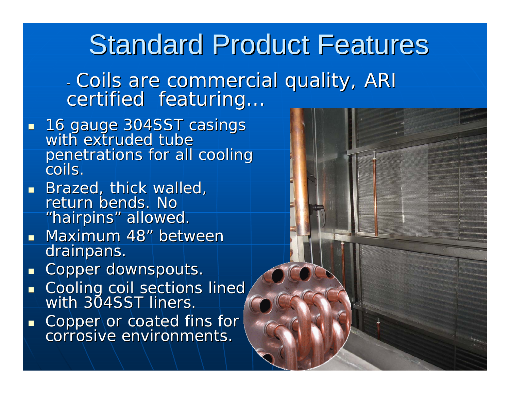- Coils are commercial quality, ARI<br>certified featuring... certified featuring...

- $\mathbb{R}^2$  16 gauge 304SST casings 16 gauge 304SST casings with extruded tube with extruded tube penetrations for all cooling coils.
- $\mathbb{R}^2$ Brazed, thick walled, return bends. No "hairpins" allowed.
- $\mathbb{R}^2$ **Maximum 48" between** drainpans.
- п Copper downspouts.
- $\blacksquare$  $\blacksquare$  Cooling coil sections lined with 304SST liners.
- $\blacksquare$ Copper or coated fins for corrosive environments.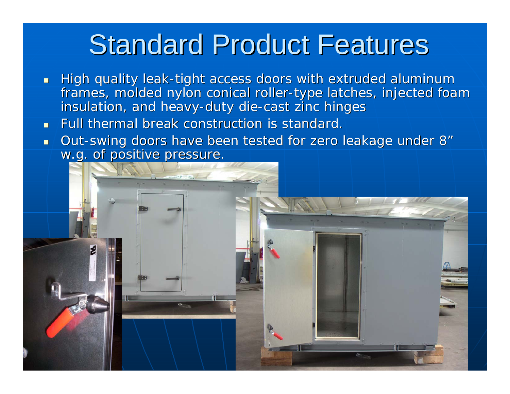- $\blacksquare$  $\blacksquare$  High quality leak-tight access doors with extruded aluminum frames, molded nylon conical roller-type latches, injected foam insulation, and heavy-duty die-cast zinc hinges
- $\blacksquare$ Full thermal break construction is standard.
- П **Dut-swing doors have been tested for zero leakage under 8** w.g. of positive pressure.